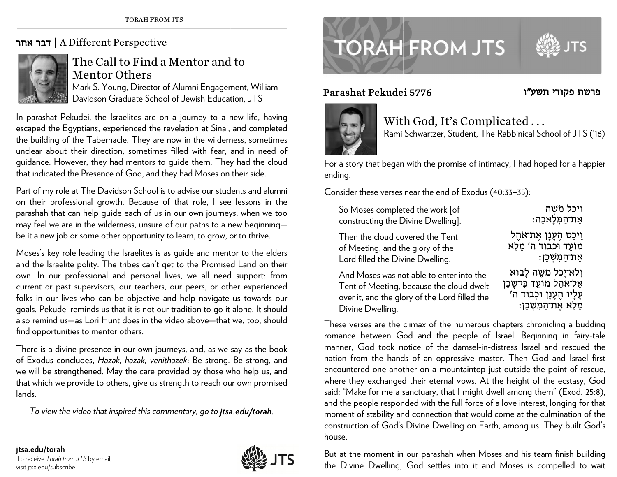## ד**בר אחר |** A Different Perspective



## The Call to Find a Mentor and to Mentor Others

Mark S. Young, Director of Alumni Engagement, William Davidson Graduate School of Jewish Education, JTS

In parashat Pekudei, the Israelites are on a journey to a new life, having escaped the Egyptians, experienced the revelation at Sinai, and completed the building of the Tabernacle. They are now in the wilderness, sometimes unclear about their direction, sometimes filled with fear, and in need of guidance. However, they had mentors to guide them. They had the cloud that indicated the Presence of God, and they had Moses on their side.

Part of my role at The Davidson School is to advise our students and alumni on their professional growth. Because of that role, I see lessons in the parashah that can help guide each of us in our own journeys, when we too may feel we are in the wilderness, unsure of our paths to a new beginning be it a new job or some other opportunity to learn, to grow, or to thrive.

Moses's key role leading the Israelites is as guide and mentor to the elders and the Israelite polity. The tribes can't get to the Promised Land on their own. In our professional and personal lives, we all need support: from current or p past supervisors, our teachers, o our peers, or ot h her experienced folks in our lives who can be objective and help navigate us towards our goals. Pekudei reminds us that it is not our tradition to go it alone. It should also remind us—as Lori Hunt does in the video above—that we, too, should find opportunities to mentor others.

There is a divine presence in our own journeys, and, as we say as the book of Exodus concludes, *Hazak, hazak, venithazek*: Be strong. Be strong, and we will be strengthened. May the care provided by those who help us, and that which we provide to others, give us strength to reach our own promised lands.

*To view the video that ins spired this com m mentary, go to jts a a.edu/torah.*





## Parasshat Pekudei 5776



פרשת פקודי תשע״ו

With God, It's Complicated . . . Rami Schwartzer, Student, The Rabbinical School of JTS ('16)

For a story that began with the promise of intimacy, I had hoped for a happier ending g.

Consider these verses near the end of Exodus (40:33–35):

| So Moses completed the work [of               | וַיְכַל מֹשֶׁה                |
|-----------------------------------------------|-------------------------------|
| constructing the Divine Dwelling].            | <b>אֵת־הַמְּלַאכָה:</b>       |
| Then the cloud covered the Tent               | וַיִּכַּס הֶעָנָן אֶת־אֹהֶל   |
| of Meeting, and the glory of the              | מוֹעֵד וּכְבוֹד ה' מָלֵא      |
| Lord filled the Divine Dwelling.              | <b>אֵת־הַמְּשִׁכָּן:</b>      |
| And Moses was not able to enter into the      | ולא־יַכל מֹשֶׁה לָבוֹא        |
| Tent of Meeting, because the cloud dwelt      | אֱל־אֹהֱל מוֹעֶד כִּי־שָּׁכַן |
| over it, and the glory of the Lord filled the | עָלָיו הֶעָנָן וּכְבוֹד ה'    |
| Divine Dwelling.                              | מָלֵא אֶת־הַמְּשְׁכָּן:       |

These verses are the climax of the numerous chapters chronicling a budding roman nce between G od and the p e eople of Israel. Beginning in f fairy-tale manner, God took notice of the damsel-in-distress Israel and rescued the nation from the hands of an oppressive master. Then God and Israel first encountered one another on a mountaintop just outside the point of rescue, where they exchanged their eternal vows. At the height of the ecstasy, God said: "Make for me a sanctuary, that I might dwell among them" (Exod. 25:8), and the people responded with the full force of a love interest, longing for that moment of stability and connection that would come at the culmination of the construction of God's Divine Dwelling on Earth, among us. They built God's house.

But at the moment in our parashah when Moses and his team finish building the Divine Dwelling, God settles into it and Moses is compelled to wait